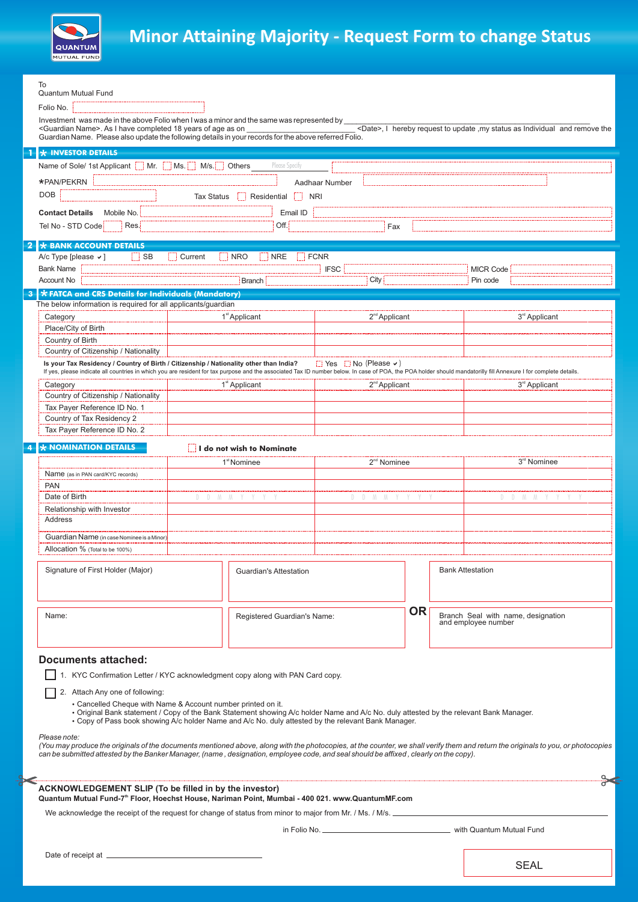

## **Minor Attaining Majority - Request Form to change Status**

| To                                                                                                                                                                                                                                                                                                                                                                                                                                                                     |                |                                            |                             |    |                                                           |                                                                                                                                                                                   |
|------------------------------------------------------------------------------------------------------------------------------------------------------------------------------------------------------------------------------------------------------------------------------------------------------------------------------------------------------------------------------------------------------------------------------------------------------------------------|----------------|--------------------------------------------|-----------------------------|----|-----------------------------------------------------------|-----------------------------------------------------------------------------------------------------------------------------------------------------------------------------------|
| <b>Quantum Mutual Fund</b>                                                                                                                                                                                                                                                                                                                                                                                                                                             |                |                                            |                             |    |                                                           |                                                                                                                                                                                   |
| Folio No.                                                                                                                                                                                                                                                                                                                                                                                                                                                              |                |                                            |                             |    |                                                           |                                                                                                                                                                                   |
| Investment was made in the above Folio when I was a minor and the same was represented by<br><guardian name="">. As I have completed 18 years of age as on<br/><date>, I hereby request to update , my status as Individual and remove the<br/>Guardian Name. Please also update the following details in your records for the above referred Folio.</date></guardian>                                                                                                 |                |                                            |                             |    |                                                           |                                                                                                                                                                                   |
| <b>* INVESTOR DETAILS</b>                                                                                                                                                                                                                                                                                                                                                                                                                                              |                |                                            |                             |    |                                                           |                                                                                                                                                                                   |
| Name of Sole/ 1st Applicant   Mr.   Ms.   M/s.   Others<br>Please Specify                                                                                                                                                                                                                                                                                                                                                                                              |                |                                            |                             |    |                                                           |                                                                                                                                                                                   |
| *PAN/PEKRN<br>Aadhaar Number                                                                                                                                                                                                                                                                                                                                                                                                                                           |                |                                            |                             |    |                                                           |                                                                                                                                                                                   |
| <b>DOB</b><br>Residential NRI                                                                                                                                                                                                                                                                                                                                                                                                                                          |                |                                            |                             |    |                                                           |                                                                                                                                                                                   |
| Tax Status                                                                                                                                                                                                                                                                                                                                                                                                                                                             |                |                                            |                             |    |                                                           |                                                                                                                                                                                   |
| <b>Contact Details</b><br>Mobile No.                                                                                                                                                                                                                                                                                                                                                                                                                                   |                | Email ID                                   |                             |    |                                                           |                                                                                                                                                                                   |
| Res.<br>Tel No - STD Code                                                                                                                                                                                                                                                                                                                                                                                                                                              |                | Off.                                       | Fax                         |    |                                                           |                                                                                                                                                                                   |
| * BANK ACCOUNT DETAILS                                                                                                                                                                                                                                                                                                                                                                                                                                                 |                |                                            |                             |    |                                                           |                                                                                                                                                                                   |
| $\Box$ SB<br>A/c Type [please $\vee$ ]                                                                                                                                                                                                                                                                                                                                                                                                                                 | $\Box$ Current | NRO<br>$\blacksquare$ NRE<br>$\vdash$ FCNR |                             |    |                                                           |                                                                                                                                                                                   |
| <b>Bank Name</b>                                                                                                                                                                                                                                                                                                                                                                                                                                                       |                |                                            | <b>IFSC</b>                 |    |                                                           | <b>MICR Code</b>                                                                                                                                                                  |
| Account No                                                                                                                                                                                                                                                                                                                                                                                                                                                             |                | <b>Branch</b>                              | City                        |    |                                                           | Pin code                                                                                                                                                                          |
| * FATCA and CRS Details for Individuals (Mandatory)<br>3<br>The below information is required for all applicants/quardian                                                                                                                                                                                                                                                                                                                                              |                |                                            |                             |    |                                                           |                                                                                                                                                                                   |
| Category                                                                                                                                                                                                                                                                                                                                                                                                                                                               |                | 1 <sup>st</sup> Applicant                  | 2 <sup>nd</sup> Applicant   |    |                                                           | 3 <sup>rd</sup> Applicant                                                                                                                                                         |
| Place/City of Birth                                                                                                                                                                                                                                                                                                                                                                                                                                                    |                |                                            |                             |    |                                                           |                                                                                                                                                                                   |
| Country of Birth                                                                                                                                                                                                                                                                                                                                                                                                                                                       |                |                                            |                             |    |                                                           |                                                                                                                                                                                   |
| Country of Citizenship / Nationality                                                                                                                                                                                                                                                                                                                                                                                                                                   |                |                                            |                             |    |                                                           |                                                                                                                                                                                   |
| $\Box$ Yes $\Box$ No (Please $\vee$ )<br>Is your Tax Residency / Country of Birth / Citizenship / Nationality other than India?<br>If yes, please indicate all countries in which you are resident for tax purpose and the associated Tax ID number below. In case of POA, the POA holder should mandatorilly fill Annexure I for complete details.                                                                                                                    |                |                                            |                             |    |                                                           |                                                                                                                                                                                   |
| Category                                                                                                                                                                                                                                                                                                                                                                                                                                                               |                | 1 <sup>st</sup> Applicant                  | 2 <sup>nd</sup> Applicant   |    |                                                           | 3 <sup>rd</sup> Applicant                                                                                                                                                         |
| Country of Citizenship / Nationality                                                                                                                                                                                                                                                                                                                                                                                                                                   |                |                                            |                             |    |                                                           |                                                                                                                                                                                   |
| Tax Payer Reference ID No. 1                                                                                                                                                                                                                                                                                                                                                                                                                                           |                |                                            |                             |    |                                                           |                                                                                                                                                                                   |
| Country of Tax Residency 2                                                                                                                                                                                                                                                                                                                                                                                                                                             |                |                                            |                             |    |                                                           |                                                                                                                                                                                   |
| Tax Payer Reference ID No. 2                                                                                                                                                                                                                                                                                                                                                                                                                                           |                |                                            |                             |    |                                                           |                                                                                                                                                                                   |
| $\star$ NOMINATION DETAILS<br>I do not wish to Nominate                                                                                                                                                                                                                                                                                                                                                                                                                |                |                                            |                             |    |                                                           |                                                                                                                                                                                   |
|                                                                                                                                                                                                                                                                                                                                                                                                                                                                        |                | 1 <sup>st</sup> Nominee                    | 2 <sup>nd</sup> Nominee     |    |                                                           | 3 <sup>rd</sup> Nominee                                                                                                                                                           |
| Name (as in PAN card/KYC records)                                                                                                                                                                                                                                                                                                                                                                                                                                      |                |                                            |                             |    |                                                           |                                                                                                                                                                                   |
| <b>PAN</b>                                                                                                                                                                                                                                                                                                                                                                                                                                                             |                |                                            |                             |    |                                                           |                                                                                                                                                                                   |
| Date of Birth<br>Relationship with Investor                                                                                                                                                                                                                                                                                                                                                                                                                            | D M M Y        |                                            | $M$ $M$<br>D<br>D.          |    |                                                           | D D M M                                                                                                                                                                           |
| Address                                                                                                                                                                                                                                                                                                                                                                                                                                                                |                |                                            |                             |    |                                                           |                                                                                                                                                                                   |
| Guardian Name (in case Nominee is a Minor)                                                                                                                                                                                                                                                                                                                                                                                                                             |                |                                            |                             |    |                                                           |                                                                                                                                                                                   |
| Allocation % (Total to be 100%)                                                                                                                                                                                                                                                                                                                                                                                                                                        |                |                                            |                             |    |                                                           |                                                                                                                                                                                   |
|                                                                                                                                                                                                                                                                                                                                                                                                                                                                        |                |                                            |                             |    |                                                           |                                                                                                                                                                                   |
| Signature of First Holder (Major)                                                                                                                                                                                                                                                                                                                                                                                                                                      |                | Guardian's Attestation                     |                             |    | <b>Bank Attestation</b>                                   |                                                                                                                                                                                   |
| Name:                                                                                                                                                                                                                                                                                                                                                                                                                                                                  |                |                                            | Registered Guardian's Name: | OR | Branch Seal with name, designation<br>and employee number |                                                                                                                                                                                   |
| <b>Documents attached:</b><br>1. KYC Confirmation Letter / KYC acknowledgment copy along with PAN Card copy.<br>2. Attach Any one of following:                                                                                                                                                                                                                                                                                                                        |                |                                            |                             |    |                                                           |                                                                                                                                                                                   |
| • Cancelled Cheque with Name & Account number printed on it.<br>· Original Bank statement / Copy of the Bank Statement showing A/c holder Name and A/c No. duly attested by the relevant Bank Manager.<br>• Copy of Pass book showing A/c holder Name and A/c No. duly attested by the relevant Bank Manager.<br>Please note:<br>can be submitted attested by the Banker Manager, (name, designation, employee code, and seal should be affixed, clearly on the copy). |                |                                            |                             |    |                                                           | (You may produce the originals of the documents mentioned above, along with the photocopies, at the counter, we shall verify them and return the originals to you, or photocopies |
|                                                                                                                                                                                                                                                                                                                                                                                                                                                                        |                |                                            |                             |    |                                                           |                                                                                                                                                                                   |
| <b>ACKNOWLEDGEMENT SLIP (To be filled in by the investor)</b><br>Quantum Mutual Fund-7 <sup>th</sup> Floor, Hoechst House, Nariman Point, Mumbai - 400 021. www.QuantumMF.com                                                                                                                                                                                                                                                                                          |                |                                            |                             |    |                                                           |                                                                                                                                                                                   |
| We acknowledge the receipt of the request for change of status from minor to major from Mr. / Ms. / M/s.                                                                                                                                                                                                                                                                                                                                                               |                |                                            |                             |    |                                                           |                                                                                                                                                                                   |
|                                                                                                                                                                                                                                                                                                                                                                                                                                                                        |                |                                            |                             |    |                                                           |                                                                                                                                                                                   |
|                                                                                                                                                                                                                                                                                                                                                                                                                                                                        |                |                                            |                             |    |                                                           |                                                                                                                                                                                   |
|                                                                                                                                                                                                                                                                                                                                                                                                                                                                        |                |                                            |                             |    |                                                           | <b>SEAL</b>                                                                                                                                                                       |